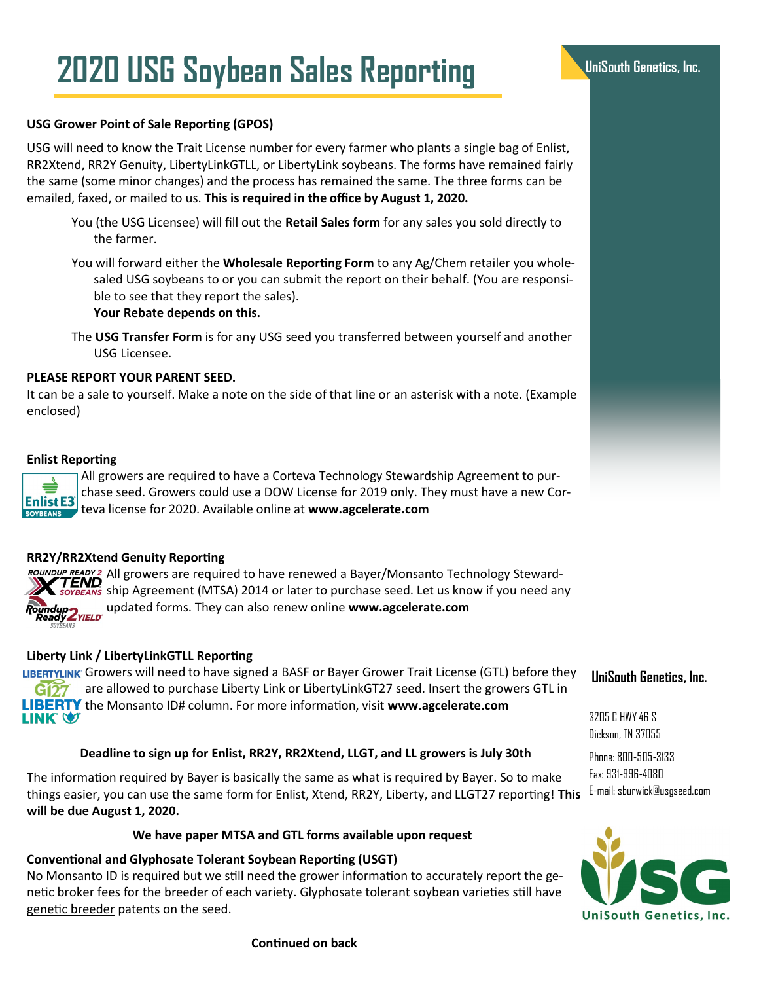# **UniSouth Genetics, Inc. 2020 USG Soybean Sales Reporting**

## **USG Grower Point of Sale Reporting (GPOS)**

USG will need to know the Trait License number for every farmer who plants a single bag of Enlist, RR2Xtend, RR2Y Genuity, LibertyLinkGTLL, or LibertyLink soybeans. The forms have remained fairly the same (some minor changes) and the process has remained the same. The three forms can be emailed, faxed, or mailed to us. **This is required in the office by August 1, 2020.** 

- You (the USG Licensee) will fill out the **Retail Sales form** for any sales you sold directly to the farmer.
- You will forward either the **Wholesale Reporting Form** to any Ag/Chem retailer you wholesaled USG soybeans to or you can submit the report on their behalf. (You are responsible to see that they report the sales).

**Your Rebate depends on this.**

The **USG Transfer Form** is for any USG seed you transferred between yourself and another USG Licensee.

### **PLEASE REPORT YOUR PARENT SEED.**

It can be a sale to yourself. Make a note on the side of that line or an asterisk with a note. (Example enclosed)

#### **Enlist Reporting**

**Enlist E3** 

All growers are required to have a Corteva Technology Stewardship Agreement to purchase seed. Growers could use a DOW License for 2019 only. They must have a new Corteva license for 2020. Available online at **www.agcelerate.com**

### **RR2Y/RR2Xtend Genuity Reporting**

ROUNDUP READY 2 All growers are required to have renewed a Bayer/Monsanto Technology Steward-**TEND Solution** Agreement (MTSA) 2014 or later to purchase seed. Let us know if you need any updated forms. They can also renew online **www.agcelerate.com** Roundup<br>Ready 2YIELD

## **Liberty Link / LibertyLinkGTLL Reporting**

LIBERTYLINK Growers will need to have signed a BASF or Bayer Grower Trait License (GTL) before they  $G<sub>27</sub>$  are allowed to purchase Liberty Link or LibertyLinkGT27 seed. Insert the growers GTL in **LIBERTY** the Monsanto ID# column. For more information, visit www.agcelerate.com **LINK Q.** 

#### **Deadline to sign up for Enlist, RR2Y, RR2Xtend, LLGT, and LL growers is July 30th**

The information required by Bayer is basically the same as what is required by Bayer. So to make things easier, you can use the same form for Enlist, Xtend, RR2Y, Liberty, and LLGT27 reporting! **This will be due August 1, 2020.**

### **We have paper MTSA and GTL forms available upon request**

#### **Conventional and Glyphosate Tolerant Soybean Reporting (USGT)**

No Monsanto ID is required but we still need the grower information to accurately report the genetic broker fees for the breeder of each variety. Glyphosate tolerant soybean varieties still have genetic breeder patents on the seed.



**UniSouth Genetics, Inc.** 

#### **Continued on back**

# **UniSouth Genetics, Inc.**

3205 C HWY 46 S Dickson, TN 37055

Phone: 800-505-3133 Fax: 931-996-4080 E-mail: sburwick@usgseed.com